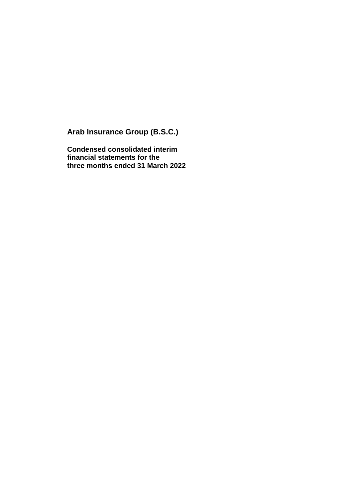**Arab Insurance Group (B.S.C.)**

**Condensed consolidated interim financial statements for the three months ended 31 March 2022**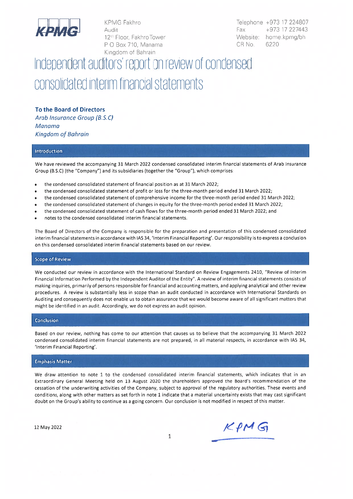

**KPMG Fakhro** Audit 12<sup>th</sup> Floor, Fakhro Tower P O Box 710. Manama Kingdom of Bahrain

Telephone +973 17 224807 +973 17 227443 Fax Website: home.kpmg/bh CR No. 6220

# Independent auditors' report on review of condensed consolidated interim financial statements

To the Board of Directors Arab Insurance Group (B.S.C)

Manama Kingdom of Bahrain

#### Introduction

We have reviewed the accompanying 31 March 2022 condensed consolidated interim financial statements of Arab Insurance Group (B.S.C) (the "Company") and its subsidiaries (together the "Group"), which comprises:

- the condensed consolidated statement of financial position as at 31 March 2022;
- the condensed consolidated statement of profit or loss for the three-month period ended 31 March 2022;
- the condensed consolidated statement of comprehensive income for the three-month period ended 31 March 2022;
- the condensed consolidated statement of changes in equity for the three-month period ended 31 March 2022;
- the condensed consolidated statement of cash flows for the three-month period ended 31 March 2022; and
- notes to the condensed consolidated interim financial statements.

The Board of Directors of the Company is responsible for the preparation and presentation of this condensed consolidated interim financial statements in accordance with IAS 34, 'Interim Financial Reporting'. Our responsibility is to express a conclusion on this condensed consolidated interim financial statements based on our review.

#### **Scope of Review**

We conducted our review in accordance with the International Standard on Review Engagements 2410, "Review of Interim Financial Information Performed by the Independent Auditor of the Entity". A review of interim financial statements consists of making inquiries, primarily of persons responsible for financial and accounting matters, and applying analytical and other review procedures. A review is substantially less in scope than an audit conducted in accordance with International Standards on Auditing and consequently does not enable us to obtain assurance that we would become aware of all significant matters that might be identified in an audit. Accordingly, we do not express an audit opinion.

#### **Conclusion**

Based on our review, nothing has come to our attention that causes us to believe that the accompanying 31 March 2022 condensed consolidated interim financial statements are not prepared, in all material respects, in accordance with IAS 34, 'Interim Financial Reporting'.

#### **Emphasis Matter**

We draw attention to note 1 to the condensed consolidated interim financial statements, which indicates that in an Extraordinary General Meeting held on 13 August 2020 the shareholders approved the Board's recommendation of the cessation of the underwriting activities of the Company, subject to approval of the regulatory authorities. These events and conditions, along with other matters as set forth in note 1 indicate that a material uncertainty exists that may cast significant doubt on the Group's ability to continue as a going concern. Our conclusion is not modified in respect of this matter.

12 May 2022

 $KPMG$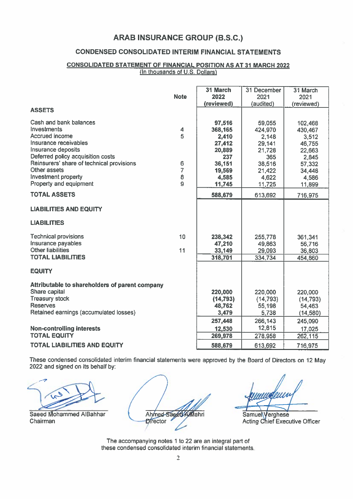## **CONDENSED CONSOLIDATED INTERIM FINANCIAL STATEMENTS**

#### **CONSOLIDATED STATEMENT OF FINANCIAL POSITION AS AT 31 MARCH 2022** (In thousands of U.S. Dollars)

|                                                | <b>Note</b>    | 31 March<br>2022 | 31 December<br>2021 | 31 March<br>2021 |
|------------------------------------------------|----------------|------------------|---------------------|------------------|
|                                                |                | (reviewed)       | (audited)           | (reviewed)       |
| <b>ASSETS</b>                                  |                |                  |                     |                  |
| Cash and bank balances                         |                | 97,516           | 59,055              | 102,468          |
| Investments                                    | 4              | 368,165          | 424,970             | 430,467          |
| Accrued income                                 | 5              | 2,410            | 2,148               | 3,512            |
| Insurance receivables                          |                | 27,412           | 29,141              | 46,755           |
| Insurance deposits                             |                | 20,889           | 21,728              | 22,663           |
| Deferred policy acquisition costs              |                | 237              | 365                 | 2,845            |
| Reinsurers' share of technical provisions      | 6              | 36,151           | 38,516              | 57,332           |
| <b>Other assets</b>                            | $\overline{7}$ | 19,569           | 21,422              | 34,448           |
| Investment property                            | 8              | 4,585            | 4,622               | 4,586            |
| Property and equipment                         | $\overline{9}$ | 11,745           | 11,725              | 11,899           |
| <b>TOTAL ASSETS</b>                            |                | 588,679          | 613,692             | 716,975          |
| <b>LIABILITIES AND EQUITY</b>                  |                |                  |                     |                  |
| <b>LIABILITIES</b>                             |                |                  |                     |                  |
| <b>Technical provisions</b>                    | 10             | 238,342          | 255,778             | 361,341          |
| Insurance payables                             |                | 47,210           | 49,863              | 56,716           |
| <b>Other liabilities</b>                       | 11             | 33,149           | 29,093              | 36,803           |
| <b>TOTAL LIABILITIES</b>                       |                | 318,701          | 334,734             | 454,860          |
| <b>EQUITY</b>                                  |                |                  |                     |                  |
| Attributable to shareholders of parent company |                |                  |                     |                  |
| Share capital                                  |                | 220,000          | 220,000             | 220,000          |
| <b>Treasury stock</b>                          |                | (14, 793)        | (14, 793)           | (14, 793)        |
| <b>Reserves</b>                                |                | 48,762           | 55,198              | 54,463           |
| Retained earnings (accumulated losses)         |                | 3,479            | 5,738               | (14, 580)        |
|                                                |                | 257,448          | 266,143             | 245,090          |
| <b>Non-controlling interests</b>               |                | 12,530           | 12,815              | 17,025           |
| <b>TOTAL EQUITY</b>                            |                | 269,978          | 278,958             | 262, 115         |
| <b>TOTAL LIABILITIES AND EQUITY</b>            |                | 588,679          | 613,692             | 716,975          |

These condensed consolidated interim financial statements were approved by the Board of Directors on 12 May 2022 and signed on its behalf by:

Saeed Mohammed AlBahhar Chairman

Ahmed Sageth Mahri **Director** 

Samuel Verghese Acting Chief Executive Officer

The accompanying notes 1 to 22 are an integral part of these condensed consolidated interim financial statements.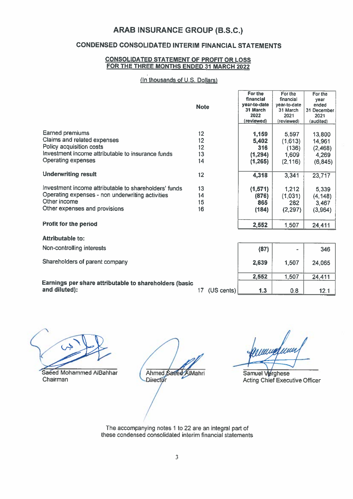# **CONDENSED CONSOLIDATED INTERIM FINANCIAL STATEMENTS**

#### **CONSOLIDATED STATEMENT OF PROFIT OR LOSS** FOR THE THREE MONTHS ENDED 31 MARCH 2022

#### (In thousands of U.S. Dollars)

|                                                        |                               | For the      | For the      | For the     |
|--------------------------------------------------------|-------------------------------|--------------|--------------|-------------|
|                                                        |                               | financial    | financial    | vear        |
|                                                        | <b>Note</b>                   | vear-to-date | year-to-date | ended       |
|                                                        |                               | 31 March     | 31 March     | 31 December |
|                                                        |                               | 2022         | 2021         | 2021        |
|                                                        |                               | (reviewed)   | (reviewed)   | (audited)   |
|                                                        |                               |              |              |             |
| Earned premiums                                        | 12 <sup>2</sup>               | 1,159        | 5,597        | 13,800      |
| Claims and related expenses                            | 12                            | 5,402        | (1,613)      | 14,961      |
| Policy acquisition costs                               | 12                            | 316          | (136)        | (2,468)     |
| Investment income attributable to insurance funds      | 13                            | (1, 294)     | 1,609        | 4,269       |
| <b>Operating expenses</b>                              | 14                            |              |              |             |
|                                                        |                               | (1,265)      | (2, 116)     | (6, 845)    |
| <b>Underwriting result</b>                             | 12 <sub>2</sub>               |              |              |             |
|                                                        |                               | 4,318        | 3,341        | 23,717      |
| Investment income attributable to shareholders' funds  | 13                            | (1,571)      | 1,212        | 5,339       |
| Operating expenses - non underwriting activities       | 14                            | (876)        | (1,031)      | (4, 148)    |
| Other income                                           |                               |              |              |             |
|                                                        | 15                            | 865          | 282          | 3,467       |
| Other expenses and provisions                          | 16                            | (184)        | (2, 297)     | (3,964)     |
|                                                        |                               |              |              |             |
| <b>Profit for the period</b>                           |                               | 2,552        | 1,507        | 24,411      |
| <b>Attributable to:</b>                                |                               |              |              |             |
|                                                        |                               |              |              |             |
| Non-controlling interests                              |                               | (87)         |              | 346         |
| Shareholders of parent company                         |                               |              |              |             |
|                                                        |                               | 2,639        | 1,507        | 24,065      |
|                                                        |                               | 2,552        | 1,507        | 24,411      |
| Earnings per share attributable to shareholders (basic |                               |              |              |             |
| and diluted):                                          | (US cents)<br>17 <sup>2</sup> | 1.3          | 0.8          | 12.1        |

 $\mathcal{C}$ 

Saeed Mohammed AlBahhar Chairman

Ahmed Saeed AlMahri Director

anning

Samuel Verghese **Acting Chief Executive Officer** 

The accompanying notes 1 to 22 are an integral part of these condensed consolidated interim financial statements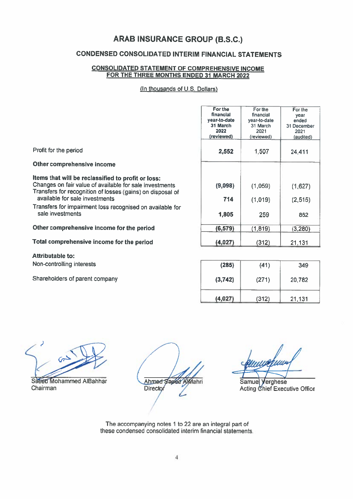# **CONDENSED CONSOLIDATED INTERIM FINANCIAL STATEMENTS**

#### **CONSOLIDATED STATEMENT OF COMPREHENSIVE INCOME** FOR THE THREE MONTHS ENDED 31 MARCH 2022

(In thousands of U.S. Dollars)

|                                                                                                                                                                                                               | For the<br>financial<br>year-to-date<br>31 March<br>2022<br>(reviewed) | For the<br>financial<br>year-to-date<br>31 March<br>2021<br>(reviewed) | For the<br>year<br>ended<br>31 December<br>2021<br>(audited) |
|---------------------------------------------------------------------------------------------------------------------------------------------------------------------------------------------------------------|------------------------------------------------------------------------|------------------------------------------------------------------------|--------------------------------------------------------------|
| Profit for the period                                                                                                                                                                                         | 2,552                                                                  | 1,507                                                                  | 24,411                                                       |
| Other comprehensive income                                                                                                                                                                                    |                                                                        |                                                                        |                                                              |
| Items that will be reclassified to profit or loss:<br>Changes on fair value of available for sale investments<br>Transfers for recognition of losses (gains) on disposal of<br>available for sale investments | (9,098)<br>714                                                         | (1,059)<br>(1,019)                                                     | (1,627)<br>(2, 515)                                          |
| Transfers for impairment loss recognised on available for<br>sale investments                                                                                                                                 | 1,805                                                                  | 259                                                                    | 862                                                          |
| Other comprehensive income for the period                                                                                                                                                                     | (6, 579)                                                               | (1, 819)                                                               | (3, 280)                                                     |
| Total comprehensive income for the period                                                                                                                                                                     | (4,027)                                                                | (312)                                                                  | 21,131                                                       |
| <b>Attributable to:</b>                                                                                                                                                                                       |                                                                        |                                                                        |                                                              |
| Non-controlling interests                                                                                                                                                                                     | (285)                                                                  | (41)                                                                   | 349                                                          |
| Shareholders of parent company                                                                                                                                                                                | (3,742)                                                                | (271)                                                                  | 20,782                                                       |

Saeed Mohammed AlBahhar Chairman

Ahmed Saped Almahri Director

 $(312)$ 

21,131

 $(4,027)$ 

Samuel Verghese Acting Chief Executive Office

The accompanying notes 1 to 22 are an integral part of these condensed consolidated interim financial statements.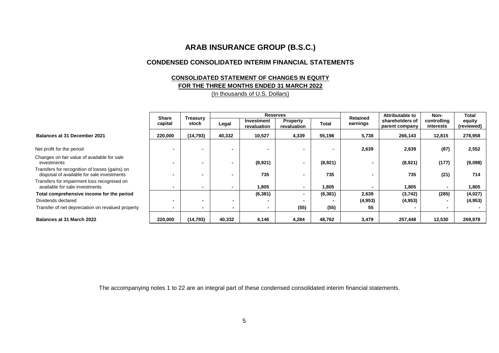#### **CONDENSED CONSOLIDATED INTERIM FINANCIAL STATEMENTS**

#### **CONSOLIDATED STATEMENT OF CHANGES IN EQUITY FOR THE THREE MONTHS ENDED 31 MARCH 2022** (In thousands of U.S. Dollars)

|                                                                                              |                         |                   |                          |                           | <b>Reserves</b>          |              |                             | Attributable to                   | Non-                     | Total                |
|----------------------------------------------------------------------------------------------|-------------------------|-------------------|--------------------------|---------------------------|--------------------------|--------------|-----------------------------|-----------------------------------|--------------------------|----------------------|
|                                                                                              | <b>Share</b><br>capital | Treasury<br>stock | Legal                    | Investment<br>revaluation | Property<br>revaluation  | <b>Total</b> | <b>Retained</b><br>earnings | shareholders of<br>parent company | controlling<br>interests | equity<br>(reviewed) |
| Balances at 31 December 2021                                                                 | 220,000                 | (14, 793)         | 40,332                   | 10,527                    | 4,339                    | 55,198       | 5,738                       | 266,143                           | 12,815                   | 278,958              |
|                                                                                              |                         |                   |                          |                           |                          |              |                             |                                   |                          |                      |
| Net profit for the period                                                                    |                         |                   |                          |                           |                          |              | 2,639                       | 2,639                             | (87)                     | 2,552                |
| Changes on fair value of available for sale<br>investments                                   |                         |                   | $\overline{\phantom{0}}$ | (8,921)                   |                          | (8,921)      |                             | (8,921)                           | (177)                    | (9,098)              |
| Transfers for recognition of losses (gains) on<br>disposal of available for sale investments |                         |                   |                          | 735                       |                          | 735          |                             | 735                               | (21)                     | 714                  |
| Transfers for impairment loss recognised on<br>available for sale investments                |                         |                   | $\overline{\phantom{0}}$ | 1.805                     | $\overline{\phantom{0}}$ | 1,805        |                             | 1,805                             | $\blacksquare$           | 1,805                |
| Total comprehensive income for the period                                                    |                         |                   |                          | (6, 381)                  | ۰                        | (6, 381)     | 2,639                       | (3,742)                           | (285)                    | (4,027)              |
| Dividends declared                                                                           |                         |                   |                          |                           |                          |              | (4,953)                     | (4, 953)                          | $\overline{\phantom{0}}$ | (4, 953)             |
| Transfer of net depreciation on revalued property                                            |                         |                   |                          | $\blacksquare$            | (55)                     | (55)         | 55                          |                                   |                          |                      |
| Balances at 31 March 2022                                                                    | 220,000                 | (14, 793)         | 40,332                   | 4,146                     | 4,284                    | 48,762       | 3,479                       | 257,448                           | 12,530                   | 269,978              |

Net profit for the period **- - - - - - 2,639 2,639 (87) 2,552**

- Changes on fair value of available<br>investments
- Transfers for recognition of losses  $\frac{1}{2}$  disposal of available for sale inve

| <b>Balances at 31 March 2022</b> |  |  |  |
|----------------------------------|--|--|--|
|----------------------------------|--|--|--|

The accompanying notes 1 to 22 are an integral part of these condensed consolidated interim financial statements.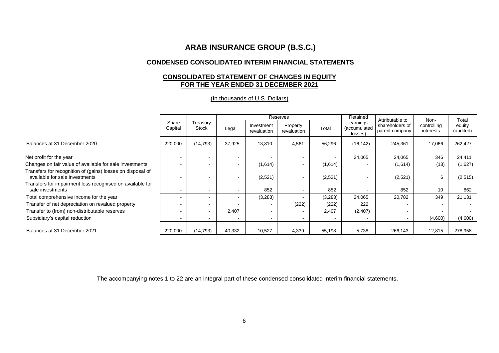## **CONDENSED CONSOLIDATED INTERIM FINANCIAL STATEMENTS**

## **CONSOLIDATED STATEMENT OF CHANGES IN EQUITY FOR THE YEAR ENDED 31 DECEMBER 2021**

(In thousands of U.S. Dollars)

|                                                                                              |                  |                          | Reserves                 |                           |                         | Retained |                                     |                                                      |                                  |                              |
|----------------------------------------------------------------------------------------------|------------------|--------------------------|--------------------------|---------------------------|-------------------------|----------|-------------------------------------|------------------------------------------------------|----------------------------------|------------------------------|
|                                                                                              | Share<br>Capital | Treasury<br>Stock        | Legal                    | Investment<br>revaluation | Property<br>revaluation | Total    | earnings<br>(accumulated<br>losses) | Attributable to<br>shareholders of<br>parent company | Non-<br>controlling<br>interests | Total<br>equity<br>(audited) |
| Balances at 31 December 2020                                                                 | 220,000          | (14, 793)                | 37,925                   | 13,810                    | 4,561                   | 56,296   | (16, 142)                           | 245,361                                              | 17,066                           | 262,427                      |
| Net profit for the year                                                                      |                  | $\overline{\phantom{a}}$ | -                        |                           | $\blacksquare$          |          | 24,065                              | 24,065                                               | 346                              | 24,411                       |
| Changes on fair value of available for sale investments                                      |                  |                          | $\blacksquare$           | (1,614)                   | $\sim$                  | (1,614)  |                                     | (1,614)                                              | (13)                             | (1,627)                      |
| Transfers for recognition of (gains) losses on disposal of<br>available for sale investments |                  |                          |                          | (2,521)                   | $\blacksquare$          | (2,521)  |                                     | (2,521)                                              | 6                                | (2,515)                      |
| Transfers for impairment loss recognised on available for<br>sale investments                |                  | $\,$ $\,$                | $\blacksquare$           | 852                       | $\sim$                  | 852      |                                     | 852                                                  | 10                               | 862                          |
| Total comprehensive income for the year                                                      |                  | $\,$ $\,$                | $\overline{\phantom{0}}$ | (3,283)                   |                         | (3,283)  | 24,065                              | 20,782                                               | 349                              | 21,131                       |
| Transfer of net depreciation on revalued property                                            |                  | $\,$ $\,$                |                          |                           | (222)                   | (222)    | 222                                 |                                                      |                                  |                              |
| Transfer to (from) non-distributable reserves                                                |                  | $\sim$                   | 2,407                    |                           |                         | 2,407    | (2,407)                             |                                                      |                                  |                              |
| Subsidiary's capital reduction                                                               |                  | $\,$ $\,$                | $\blacksquare$           |                           | $\sim$                  |          |                                     | $\blacksquare$                                       | (4,600)                          | (4,600)                      |
| Balances at 31 December 2021                                                                 | 220,000          | (14, 793)                | 40,332                   | 10,527                    | 4,339                   | 55,198   | 5,738                               | 266,143                                              | 12,815                           | 278,958                      |

The accompanying notes 1 to 22 are an integral part of these condensed consolidated interim financial statements.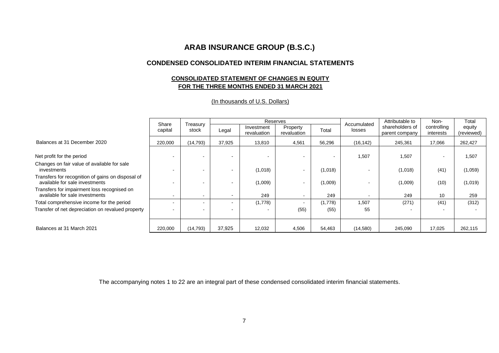#### **CONDENSED CONSOLIDATED INTERIM FINANCIAL STATEMENTS**

## **CONSOLIDATED STATEMENT OF CHANGES IN EQUITY FOR THE THREE MONTHS ENDED 31 MARCH 2021**

|                                                                                     | Share   |                   |                          | Reserves                  |                          |                | Accumulated              | Attributable to                   | Non-                     | Total                |
|-------------------------------------------------------------------------------------|---------|-------------------|--------------------------|---------------------------|--------------------------|----------------|--------------------------|-----------------------------------|--------------------------|----------------------|
|                                                                                     | capital | Treasury<br>stock | Legal                    | Investment<br>revaluation | Property<br>revaluation  | Total          | losses                   | shareholders of<br>parent company | controlling<br>interests | equity<br>(reviewed) |
| Balances at 31 December 2020                                                        | 220,000 | (14, 793)         | 37,925                   | 13,810                    | 4,561                    | 56,296         | (16, 142)                | 245,361                           | 17,066                   | 262,427              |
| Net profit for the period                                                           |         |                   |                          |                           |                          | $\blacksquare$ | 1,507                    | 1.507                             | $\blacksquare$           | 1,507                |
| Changes on fair value of available for sale<br>investments                          |         |                   | $\overline{\phantom{0}}$ | (1,018)                   | $\overline{\phantom{a}}$ | (1,018)        | $\overline{\phantom{0}}$ | (1,018)                           | (41)                     | (1,059)              |
| Transfers for recognition of gains on disposal of<br>available for sale investments |         |                   | $\overline{\phantom{0}}$ | (1,009)                   | $\overline{\phantom{a}}$ | (1,009)        |                          | (1,009)                           | (10)                     | (1,019)              |
| Transfers for impairment loss recognised on<br>available for sale investments       |         | $\blacksquare$    | $\overline{\phantom{0}}$ | 249                       | $\blacksquare$           | 249            | $\overline{\phantom{0}}$ | 249                               | 10                       | 259                  |
| Total comprehensive income for the period                                           |         |                   | $\overline{\phantom{0}}$ | (1,778)                   | $\blacksquare$           | (1,778)        | 1,507                    | (271)                             | (41)                     | (312)                |
| Transfer of net depreciation on revalued property                                   |         |                   | $\overline{\phantom{0}}$ |                           | (55)                     | (55)           | 55                       | $\overline{\phantom{a}}$          |                          |                      |
|                                                                                     |         |                   |                          |                           |                          |                |                          |                                   |                          |                      |
| Balances at 31 March 2021                                                           | 220,000 | (14, 793)         | 37,925                   | 12,032                    | 4,506                    | 54,463         | (14,580)                 | 245,090                           | 17.025                   | 262,115              |

#### (In thousands of U.S. Dollars)

The accompanying notes 1 to 22 are an integral part of these condensed consolidated interim financial statements.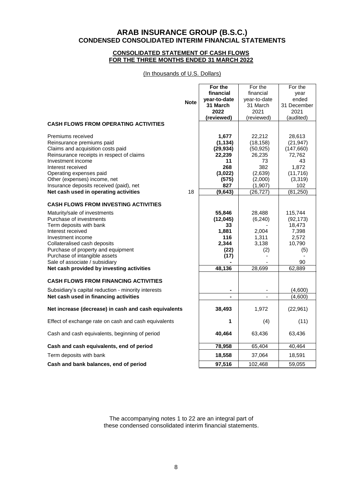## **ARAB INSURANCE GROUP (B.S.C.) CONDENSED CONSOLIDATED INTERIM FINANCIAL STATEMENTS**

#### **CONSOLIDATED STATEMENT OF CASH FLOWS FOR THE THREE MONTHS ENDED 31 MARCH 2022**

(In thousands of U.S. Dollars)

|                                                      |             | For the        | For the      | For the     |
|------------------------------------------------------|-------------|----------------|--------------|-------------|
|                                                      |             | financial      | financial    | year        |
|                                                      | <b>Note</b> | year-to-date   | year-to-date | ended       |
|                                                      |             | 31 March       | 31 March     | 31 December |
|                                                      |             | 2022           | 2021         | 2021        |
|                                                      |             | (reviewed)     | (reviewed)   | (audited)   |
| <b>CASH FLOWS FROM OPERATING ACTIVITIES</b>          |             |                |              |             |
| Premiums received                                    |             | 1,677          | 22,212       | 28,613      |
| Reinsurance premiums paid                            |             | (1, 134)       | (18, 158)    | (21, 947)   |
| Claims and acquisition costs paid                    |             | (29, 934)      | (50, 925)    | (147,660)   |
| Reinsurance receipts in respect of claims            |             | 22,239         | 26,235       | 72,762      |
| Investment income                                    |             | 11             | 73           | 43          |
| Interest received                                    |             | 268            | 382          | 1,872       |
| Operating expenses paid                              |             | (3,022)        | (2,639)      | (11, 716)   |
| Other (expenses) income, net                         |             | (575)          | (2,000)      | (3,319)     |
| Insurance deposits received (paid), net              |             | 827            | (1,907)      | 102         |
| Net cash used in operating activities                | 18          | (9,643)        | (26, 727)    | (81, 250)   |
| <b>CASH FLOWS FROM INVESTING ACTIVITIES</b>          |             |                |              |             |
| Maturity/sale of investments                         |             | 55,846         | 28,488       | 115,744     |
| Purchase of investments                              |             | (12, 045)      | (6, 240)     | (92, 173)   |
| Term deposits with bank                              |             | 33             |              | 18,473      |
| Interest received                                    |             | 1,881          | 2,004        | 7,398       |
| Investment income                                    |             | 116            | 1,311        | 2,572       |
| Collateralised cash deposits                         |             | 2,344          | 3,138        | 10,790      |
| Purchase of property and equipment                   |             | (22)           | (2)          | (5)         |
| Purchase of intangible assets                        |             | (17)           |              |             |
| Sale of associate / subsidiary                       |             |                |              | 90          |
| Net cash provided by investing activities            |             | 48,136         | 28,699       | 62,889      |
| <b>CASH FLOWS FROM FINANCING ACTIVITIES</b>          |             |                |              |             |
| Subsidiary's capital reduction - minority interests  |             |                |              | (4,600)     |
| Net cash used in financing activities                |             | $\blacksquare$ | $\mathbf{r}$ | (4,600)     |
| Net increase (decrease) in cash and cash equivalents |             | 38,493         | 1,972        | (22, 961)   |
| Effect of exchange rate on cash and cash equivalents |             | 1              | (4)          | (11)        |
| Cash and cash equivalents, beginning of period       |             | 40,464         | 63,436       | 63,436      |
| Cash and cash equivalents, end of period             |             | 78,958         | 65,404       | 40,464      |
| Term deposits with bank                              |             | 18,558         | 37,064       | 18,591      |
| Cash and bank balances, end of period                |             | 97,516         | 102,468      | 59,055      |

The accompanying notes 1 to 22 are an integral part of these condensed consolidated interim financial statements.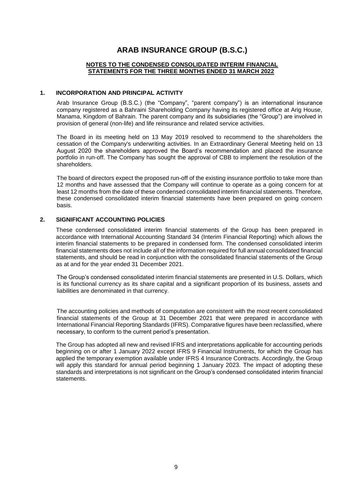#### **NOTES TO THE CONDENSED CONSOLIDATED INTERIM FINANCIAL STATEMENTS FOR THE THREE MONTHS ENDED 31 MARCH 2022**

#### **1. INCORPORATION AND PRINCIPAL ACTIVITY**

Arab Insurance Group (B.S.C.) (the "Company", "parent company") is an international insurance company registered as a Bahraini Shareholding Company having its registered office at Arig House, Manama, Kingdom of Bahrain. The parent company and its subsidiaries (the "Group") are involved in provision of general (non-life) and life reinsurance and related service activities.

The Board in its meeting held on 13 May 2019 resolved to recommend to the shareholders the cessation of the Company's underwriting activities. In an Extraordinary General Meeting held on 13 August 2020 the shareholders approved the Board's recommendation and placed the insurance portfolio in run-off. The Company has sought the approval of CBB to implement the resolution of the shareholders.

The board of directors expect the proposed run-off of the existing insurance portfolio to take more than 12 months and have assessed that the Company will continue to operate as a going concern for at least 12 months from the date of these condensed consolidated interim financial statements. Therefore, these condensed consolidated interim financial statements have been prepared on going concern basis.

#### **2. SIGNIFICANT ACCOUNTING POLICIES**

These condensed consolidated interim financial statements of the Group has been prepared in accordance with International Accounting Standard 34 (Interim Financial Reporting) which allows the interim financial statements to be prepared in condensed form. The condensed consolidated interim financial statements does not include all of the information required for full annual consolidated financial statements, and should be read in conjunction with the consolidated financial statements of the Group as at and for the year ended 31 December 2021.

The Group's condensed consolidated interim financial statements are presented in U.S. Dollars, which is its functional currency as its share capital and a significant proportion of its business, assets and liabilities are denominated in that currency.

The accounting policies and methods of computation are consistent with the most recent consolidated financial statements of the Group at 31 December 2021 that were prepared in accordance with International Financial Reporting Standards (IFRS). Comparative figures have been reclassified, where necessary, to conform to the current period's presentation.

The Group has adopted all new and revised IFRS and interpretations applicable for accounting periods beginning on or after 1 January 2022 except IFRS 9 Financial Instruments, for which the Group has applied the temporary exemption available under IFRS 4 Insurance Contracts. Accordingly, the Group will apply this standard for annual period beginning 1 January 2023. The impact of adopting these standards and interpretations is not significant on the Group's condensed consolidated interim financial statements.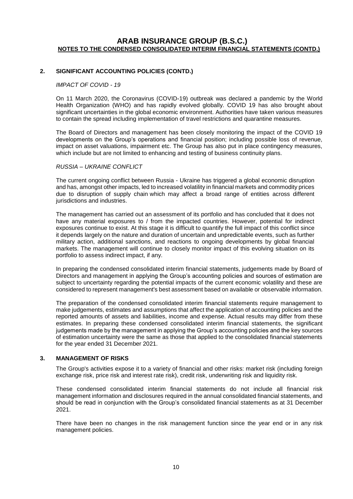#### **2. SIGNIFICANT ACCOUNTING POLICIES (CONTD.)**

#### *IMPACT OF COVID - 19*

On 11 March 2020, the Coronavirus (COVID-19) outbreak was declared a pandemic by the World Health Organization (WHO) and has rapidly evolved globally. COVID 19 has also brought about significant uncertainties in the global economic environment. Authorities have taken various measures to contain the spread including implementation of travel restrictions and quarantine measures.

The Board of Directors and management has been closely monitoring the impact of the COVID 19 developments on the Group's operations and financial position; including possible loss of revenue, impact on asset valuations, impairment etc. The Group has also put in place contingency measures, which include but are not limited to enhancing and testing of business continuity plans.

#### *RUSSIA – UKRAINE CONFLICT*

The current ongoing conflict between Russia - Ukraine has triggered a global economic disruption and has, amongst other impacts, led to increased volatility in financial markets and commodity prices due to disruption of supply chain which may affect a broad range of entities across different jurisdictions and industries.

The management has carried out an assessment of its portfolio and has concluded that it does not have any material exposures to / from the impacted countries. However, potential for indirect exposures continue to exist. At this stage it is difficult to quantify the full impact of this conflict since it depends largely on the nature and duration of uncertain and unpredictable events, such as further military action, additional sanctions, and reactions to ongoing developments by global financial markets. The management will continue to closely monitor impact of this evolving situation on its portfolio to assess indirect impact, if any.

In preparing the condensed consolidated interim financial statements, judgements made by Board of Directors and management in applying the Group's accounting policies and sources of estimation are subject to uncertainty regarding the potential impacts of the current economic volatility and these are considered to represent management's best assessment based on available or observable information.

The preparation of the condensed consolidated interim financial statements require management to make judgements, estimates and assumptions that affect the application of accounting policies and the reported amounts of assets and liabilities, income and expense. Actual results may differ from these estimates. In preparing these condensed consolidated interim financial statements, the significant judgements made by the management in applying the Group's accounting policies and the key sources of estimation uncertainty were the same as those that applied to the consolidated financial statements for the year ended 31 December 2021.

#### **3. MANAGEMENT OF RISKS**

The Group's activities expose it to a variety of financial and other risks: market risk (including foreign exchange risk, price risk and interest rate risk), credit risk, underwriting risk and liquidity risk.

These condensed consolidated interim financial statements do not include all financial risk management information and disclosures required in the annual consolidated financial statements, and should be read in conjunction with the Group's consolidated financial statements as at 31 December 2021.

There have been no changes in the risk management function since the year end or in any risk management policies.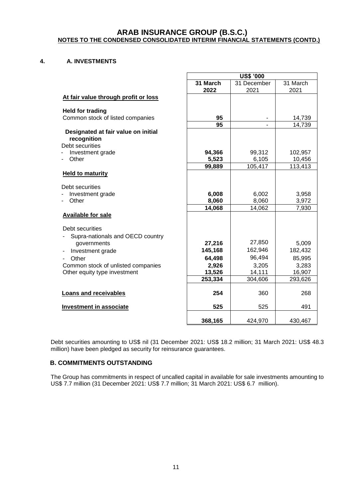#### **4. A. INVESTMENTS**

|                                                             | <b>US\$ '000</b> |                |          |  |
|-------------------------------------------------------------|------------------|----------------|----------|--|
|                                                             | 31 March         | 31 December    | 31 March |  |
|                                                             | 2022             | 2021           | 2021     |  |
| At fair value through profit or loss                        |                  |                |          |  |
|                                                             |                  |                |          |  |
| <b>Held for trading</b><br>Common stock of listed companies | 95               | $\blacksquare$ | 14,739   |  |
|                                                             | 95               | $\overline{a}$ | 14,739   |  |
| Designated at fair value on initial                         |                  |                |          |  |
| recognition                                                 |                  |                |          |  |
| Debt securities                                             |                  |                |          |  |
| Investment grade                                            | 94,366           | 99,312         | 102,957  |  |
| Other                                                       | 5,523            | 6,105          | 10,456   |  |
|                                                             | 99,889           | 105,417        | 113,413  |  |
| <b>Held to maturity</b>                                     |                  |                |          |  |
|                                                             |                  |                |          |  |
| Debt securities                                             |                  |                |          |  |
| Investment grade                                            | 6,008            | 6,002          | 3,958    |  |
| Other                                                       | 8,060            | 8,060          | 3,972    |  |
|                                                             | 14,068           | 14,062         | 7,930    |  |
| <b>Available for sale</b>                                   |                  |                |          |  |
| Debt securities                                             |                  |                |          |  |
| Supra-nationals and OECD country                            |                  |                |          |  |
| governments                                                 | 27,216           | 27,850         | 5,009    |  |
| Investment grade                                            | 145,168          | 162,946        | 182,432  |  |
| Other                                                       | 64,498           | 96,494         | 85,995   |  |
| Common stock of unlisted companies                          | 2,926            | 3,205          | 3,283    |  |
| Other equity type investment                                | 13,526           | 14,111         | 16,907   |  |
|                                                             | 253,334          | 304,606        | 293,626  |  |
|                                                             |                  |                |          |  |
| <b>Loans and receivables</b>                                | 254              | 360            | 268      |  |
|                                                             |                  |                |          |  |
| <b>Investment in associate</b>                              | 525              | 525            | 491      |  |
|                                                             | 368,165          | 424,970        | 430,467  |  |
|                                                             |                  |                |          |  |

Debt securities amounting to US\$ nil (31 December 2021: US\$ 18.2 million; 31 March 2021: US\$ 48.3 million) have been pledged as security for reinsurance guarantees.

## **B. COMMITMENTS OUTSTANDING**

The Group has commitments in respect of uncalled capital in available for sale investments amounting to US\$ 7.7 million (31 December 2021: US\$ 7.7 million; 31 March 2021: US\$ 6.7 million).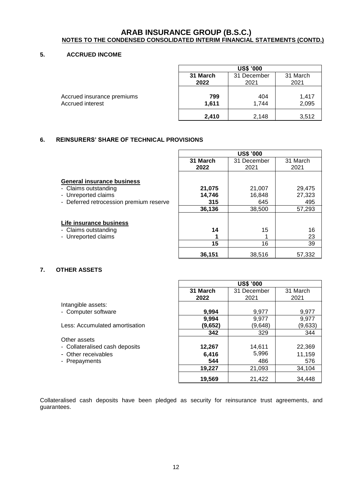#### **5. ACCRUED INCOME**

|                            |          | <b>US\$ '000</b> |          |  |  |  |
|----------------------------|----------|------------------|----------|--|--|--|
|                            | 31 March | 31 December      | 31 March |  |  |  |
|                            | 2022     | 2021             | 2021     |  |  |  |
| Accrued insurance premiums | 799      | 404              | 1,417    |  |  |  |
| Accrued interest           | 1,611    | 1.744            | 2,095    |  |  |  |
|                            | 2,410    | 2,148            | 3,512    |  |  |  |

## **6. REINSURERS' SHARE OF TECHNICAL PROVISIONS**

- Claims outstanding
- Unreported claims
- Deferred retrocession premium reserve

#### **Life insurance business**

- Claims outstanding
- Unreported claims

|          | <b>US\$ '000</b> |          |  |  |  |  |  |
|----------|------------------|----------|--|--|--|--|--|
| 31 March | 31 December      | 31 March |  |  |  |  |  |
| 2022     | 2021             | 2021     |  |  |  |  |  |
|          |                  |          |  |  |  |  |  |
| 21,075   | 21,007           | 29,475   |  |  |  |  |  |
| 14,746   | 16,848           | 27,323   |  |  |  |  |  |
| 315      | 645              | 495      |  |  |  |  |  |
| 36,136   | 38,500           | 57,293   |  |  |  |  |  |
|          |                  |          |  |  |  |  |  |
|          |                  |          |  |  |  |  |  |
| 14       | 15               | 16       |  |  |  |  |  |
| 1        |                  | 23       |  |  |  |  |  |
| 15       | 16               | 39       |  |  |  |  |  |
| 36,151   | 38,516           | 57.332   |  |  |  |  |  |

#### **7. OTHER ASSETS**

|                                | <b>US\$ '000</b> |             |          |  |  |  |
|--------------------------------|------------------|-------------|----------|--|--|--|
|                                | 31 March         | 31 December | 31 March |  |  |  |
|                                | 2022             | 2021        | 2021     |  |  |  |
| Intangible assets:             |                  |             |          |  |  |  |
| - Computer software            | 9,994            | 9,977       | 9,977    |  |  |  |
|                                | 9,994            | 9,977       | 9,977    |  |  |  |
| Less: Accumulated amortisation | (9,652)          | (9,648)     | (9,633)  |  |  |  |
|                                | 342              | 329         | 344      |  |  |  |
| Other assets                   |                  |             |          |  |  |  |
| - Collateralised cash deposits | 12,267           | 14,611      | 22,369   |  |  |  |
| - Other receivables            | 6,416            | 5,996       | 11,159   |  |  |  |
| - Prepayments                  | 544              | 486         | 576      |  |  |  |
|                                | 19,227           | 21,093      | 34,104   |  |  |  |
|                                | 19,569           | 21,422      | 34,448   |  |  |  |

 $\mathsf{r}$ 

Collateralised cash deposits have been pledged as security for reinsurance trust agreements, and guarantees.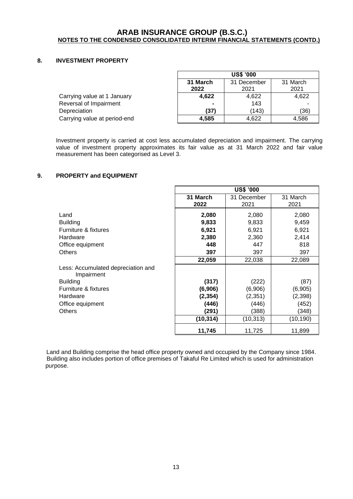#### **8. INVESTMENT PROPERTY**

|                              | <b>US\$ '000</b>                    |       |       |  |  |  |
|------------------------------|-------------------------------------|-------|-------|--|--|--|
|                              | 31 March<br>31 March<br>31 December |       |       |  |  |  |
|                              | 2022                                | 2021  | 2021  |  |  |  |
| Carrying value at 1 January  | 4,622                               | 4,622 | 4,622 |  |  |  |
| Reversal of Impairment       | $\blacksquare$                      | 143   |       |  |  |  |
| Depreciation                 | (37)                                | (143) | (36)  |  |  |  |
| Carrying value at period-end | 4.585                               | 4,622 | 4.586 |  |  |  |

Investment property is carried at cost less accumulated depreciation and impairment. The carrying value of investment property approximates its fair value as at 31 March 2022 and fair value measurement has been categorised as Level 3.

#### **9. PROPERTY and EQUIPMENT**

|                                    | <b>US\$ '000</b> |             |           |  |  |  |
|------------------------------------|------------------|-------------|-----------|--|--|--|
|                                    | 31 March         | 31 December | 31 March  |  |  |  |
|                                    | 2022             | 2021        | 2021      |  |  |  |
| Land                               | 2,080            | 2,080       | 2,080     |  |  |  |
| <b>Building</b>                    | 9,833            | 9,833       | 9,459     |  |  |  |
| Furniture & fixtures               | 6,921            | 6,921       | 6,921     |  |  |  |
| Hardware                           | 2,380            | 2,360       | 2,414     |  |  |  |
| Office equipment                   | 448              | 447         | 818       |  |  |  |
| <b>Others</b>                      | 397              | 397         | 397       |  |  |  |
| Less: Accumulated depreciation and | 22,059           | 22,038      | 22,089    |  |  |  |
| Impairment                         | (317)            | (222)       | (87)      |  |  |  |
| <b>Building</b>                    | (6,906)          | (6,906)     | (6,905)   |  |  |  |
| Furniture & fixtures               | (2, 354)         | (2, 351)    | (2,398)   |  |  |  |
| Hardware                           | (446)            | (446)       | (452)     |  |  |  |
| Office equipment                   | (291)            | (388)       | (348)     |  |  |  |
| <b>Others</b>                      | (10, 314)        | (10, 313)   | (10, 190) |  |  |  |
|                                    | 11,745           | 11,725      | 11,899    |  |  |  |

Land and Building comprise the head office property owned and occupied by the Company since 1984. Building also includes portion of office premises of Takaful Re Limited which is used for administration purpose.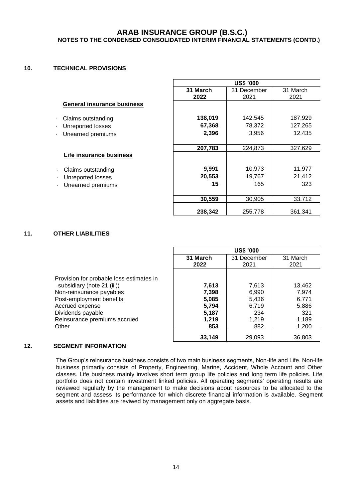#### **10. TECHNICAL PROVISIONS**

|                                   | <b>US\$ '000</b> |             |          |  |  |  |
|-----------------------------------|------------------|-------------|----------|--|--|--|
|                                   | 31 March         | 31 December | 31 March |  |  |  |
|                                   | 2022             | 2021        | 2021     |  |  |  |
| <b>General insurance business</b> |                  |             |          |  |  |  |
| Claims outstanding                | 138,019          | 142,545     | 187,929  |  |  |  |
| Unreported losses                 | 67,368           | 78,372      | 127,265  |  |  |  |
| Unearned premiums                 | 2,396            | 3,956       | 12,435   |  |  |  |
|                                   | 207,783          | 224,873     | 327,629  |  |  |  |
| Life insurance business           |                  |             |          |  |  |  |
| Claims outstanding                | 9,991            | 10,973      | 11,977   |  |  |  |
| Unreported losses<br>٠            | 20,553           | 19,767      | 21,412   |  |  |  |
| Unearned premiums                 | 15               | 165         | 323      |  |  |  |
|                                   | 30,559           | 30.905      | 33,712   |  |  |  |
|                                   | 238,342          | 255,778     | 361.341  |  |  |  |

#### **11. OTHER LIABILITIES**

|                                                                                                                                                                                                                 | <b>US\$ '000</b>                                          |                                                         |                                                            |  |  |  |
|-----------------------------------------------------------------------------------------------------------------------------------------------------------------------------------------------------------------|-----------------------------------------------------------|---------------------------------------------------------|------------------------------------------------------------|--|--|--|
|                                                                                                                                                                                                                 | 31 March                                                  | 31 December                                             | 31 March                                                   |  |  |  |
|                                                                                                                                                                                                                 | 2022                                                      | 2021                                                    | 2021                                                       |  |  |  |
| Provision for probable loss estimates in<br>subsidiary (note 21 (iii))<br>Non-reinsurance payables<br>Post-employment benefits<br>Accrued expense<br>Dividends payable<br>Reinsurance premiums accrued<br>Other | 7,613<br>7,398<br>5,085<br>5,794<br>5,187<br>1,219<br>853 | 7,613<br>6,990<br>5,436<br>6.719<br>234<br>1,219<br>882 | 13,462<br>7,974<br>6,771<br>5,886<br>321<br>1,189<br>1,200 |  |  |  |
|                                                                                                                                                                                                                 | 33,149                                                    | 29,093                                                  | 36,803                                                     |  |  |  |

#### **12. SEGMENT INFORMATION**

The Group's reinsurance business consists of two main business segments, Non-life and Life. Non-life business primarily consists of Property, Engineering, Marine, Accident, Whole Account and Other classes. Life business mainly involves short term group life policies and long term life policies. Life portfolio does not contain investment linked policies. All operating segments' operating results are reviewed regularly by the management to make decisions about resources to be allocated to the segment and assess its performance for which discrete financial information is available. Segment assets and liabilities are reviwed by management only on aggregate basis.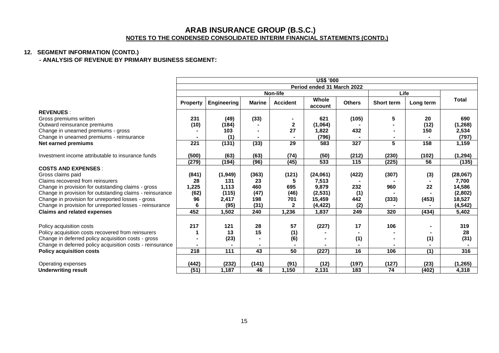## **12. SEGMENT INFORMATION (CONTD.)**

**- ANALYSIS OF REVENUE BY PRIMARY BUSINESS SEGMENT:**

|                                                           | <b>US\$ '000</b> |                            |                 |                 |                  |               |            |                  |              |
|-----------------------------------------------------------|------------------|----------------------------|-----------------|-----------------|------------------|---------------|------------|------------------|--------------|
|                                                           |                  | Period ended 31 March 2022 |                 |                 |                  |               |            |                  |              |
|                                                           |                  |                            |                 | Non-life        |                  |               | Life       |                  |              |
|                                                           | <b>Property</b>  | <b>Engineering</b>         | <b>Marine</b>   | <b>Accident</b> | Whole<br>account | <b>Others</b> | Short term | Long term        | <b>Total</b> |
| <b>REVENUES:</b>                                          |                  |                            |                 |                 |                  |               |            |                  |              |
| Gross premiums written                                    | 231              | (49)                       | (33)            |                 | 621              | (105)         | 5          | 20               | 690          |
| Outward reinsurance premiums                              | (10)             | (184)                      |                 | $\mathbf{2}$    | (1.064)          |               |            | (12)             | (1, 268)     |
| Change in unearned premiums - gross                       |                  | 103                        |                 | 27              | 1,822            | 432           |            | 150              | 2,534        |
| Change in unearned premiums - reinsurance                 |                  | (1)                        |                 |                 | (796)            |               |            |                  | (797)        |
| Net earned premiums                                       | 221              | (131)                      | (33)            | $\overline{29}$ | 583              | 327           | 5          | 158              | 1,159        |
| Investment income attributable to insurance funds         | (500)            | (63)                       | (63)            | (74)            | (50)             | (212)         | (230)      | (102)            | (1, 294)     |
|                                                           | (279)            | (194)                      | (96)            | (45)            | $\overline{533}$ | 115           | (225)      | 56               | (135)        |
| <b>COSTS AND EXPENSES:</b>                                |                  |                            |                 |                 |                  |               |            |                  |              |
| Gross claims paid                                         | (841)            | (1,949)                    | (363)           | (121)           | (24,061)         | (422)         | (307)      | (3)              | (28,067)     |
| Claims recovered from reinsurers                          | 28               | 131                        | 23              | 5               | 7,513            |               |            |                  | 7,700        |
| Change in provision for outstanding claims - gross        | 1,225            | 1,113                      | 460             | 695             | 9,879            | 232           | 960        | 22               | 14,586       |
| Change in provision for outstanding claims - reinsurance  | (62)             | (115)                      | (47)            | (46)            | (2, 531)         | (1)           |            |                  | (2,802)      |
| Change in provision for unreported losses - gross         | 96               | 2,417                      | 198             | 701             | 15,459           | 442           | (333)      | (453)            | 18,527       |
| Change in provision for unreported losses - reinsurance   | 6                | (95)                       | (31)            | $\mathbf{2}$    | (4, 422)         | (2)           |            |                  | (4, 542)     |
| <b>Claims and related expenses</b>                        | 452              | 1,502                      | 240             | 1,236           | 1,837            | 249           | 320        | (434)            | 5,402        |
|                                                           |                  |                            |                 |                 |                  |               |            |                  |              |
| Policy acquisition costs                                  | 217              | 121                        | 28              | 57              | (227)            | 17            | 106        |                  | 319          |
| Policy acquisition costs recovered from reinsurers        |                  | 13                         | 15              | (1)             |                  |               |            |                  | 28           |
| Change in deferred policy acquisition costs - gross       |                  | (23)                       |                 | (6)             |                  | (1)           |            | (1)              | (31)         |
| Change in deferred policy acquisition costs - reinsurance |                  |                            |                 |                 |                  |               |            |                  |              |
| <b>Policy acquisition costs</b>                           | $\overline{218}$ | $\frac{111}{111}$          | $\overline{43}$ | 50              | (227)            | 16            | 106        | $\overline{(1)}$ | 316          |
| Operating expenses                                        | (442)            | (232)                      | (141)           | (91)            | (12)             | (197)         | (127)      | (23)             | (1, 265)     |
| <b>Underwriting result</b>                                | (51)             | 1,187                      | 46              | 1,150           | 2,131            | 183           | 74         | (402)            | 4,318        |
|                                                           |                  |                            |                 |                 |                  |               |            |                  |              |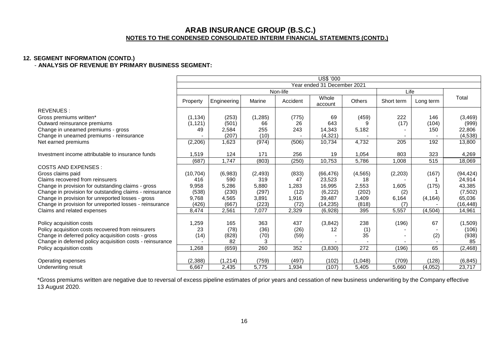#### **12. SEGMENT INFORMATION (CONTD.)** - **ANALYSIS OF REVENUE BY PRIMARY BUSINESS SEGMENT:**

|                                                           | <b>US\$ '000</b> |             |          |                             |                  |                  |            |           |           |
|-----------------------------------------------------------|------------------|-------------|----------|-----------------------------|------------------|------------------|------------|-----------|-----------|
|                                                           |                  |             |          | Year ended 31 December 2021 |                  |                  |            |           |           |
|                                                           |                  |             |          | Non-life                    |                  |                  | Life       |           |           |
|                                                           | Property         | Engineering | Marine   | Accident                    | Whole<br>account | Others           | Short term | Long term | Total     |
| REVENUES:                                                 |                  |             |          |                             |                  |                  |            |           |           |
| Gross premiums written*                                   | (1, 134)         | (253)       | (1,285)  | (775)                       | 69               | (459)            | 222        | 146       | (3,469)   |
| Outward reinsurance premiums                              | (1, 121)         | (501)       | 66       | 26                          | 643              |                  | (17)       | (104)     | (999)     |
| Change in unearned premiums - gross                       | 49               | 2,584       | 255      | 243                         | 14,343           | 5,182            |            | 150       | 22,806    |
| Change in unearned premiums - reinsurance                 |                  | (207)       | (10)     |                             | (4, 321)         |                  |            |           | (4,538)   |
| Net earned premiums                                       | (2, 206)         | 1,623       | (974)    | (506)                       | 10,734           | 4,732            | 205        | 192       | 13,800    |
|                                                           |                  |             |          |                             |                  |                  |            |           |           |
| Investment income attributable to insurance funds         | 1,519            | 124         | 171      | 256                         | 19               | 1,054            | 803        | 323       | 4,269     |
|                                                           | (687)            | 1,747       | (803)    | (250)                       | 10,753           | 5,786            | 1,008      | 515       | 18,069    |
| <b>COSTS AND EXPENSES:</b>                                |                  |             |          |                             |                  |                  |            |           |           |
| Gross claims paid                                         | (10, 704)        | (6,983)     | (2, 493) | (833)                       | (66, 476)        | (4, 565)         | (2,203)    | (167)     | (94, 424) |
| Claims recovered from reinsurers                          | 416              | 590         | 319      | 47                          | 23,523           | 18               |            |           | 24,914    |
| Change in provision for outstanding claims - gross        | 9,958            | 5,286       | 5,880    | 1,283                       | 16,995           | 2,553            | 1,605      | (175)     | 43,385    |
| Change in provision for outstanding claims - reinsurance  | (538)            | (230)       | (297)    | (12)                        | (6, 222)         | (202)            | (2)        |           | (7,502)   |
| Change in provision for unreported losses - gross         | 9,768            | 4,565       | 3,891    | 1,916                       | 39,487           | 3,409            | 6,164      | (4, 164)  | 65,036    |
| Change in provision for unreported losses - reinsurance   | (426)            | (667)       | (223)    | (72)                        | (14, 235)        | (818)            | (7)        |           | (16, 448) |
| Claims and related expenses                               | 8,474            | 2,561       | 7,077    | 2,329                       | (6,928)          | 395              | 5,557      | (4, 504)  | 14,961    |
|                                                           |                  |             |          |                             |                  |                  |            |           |           |
| Policy acquisition costs                                  | 1,259            | 165         | 363      | 437                         | (3,842)          | 238              | (196)      | 67        | (1,509)   |
| Policy acquisition costs recovered from reinsurers        | 23               | (78)        | (36)     | (26)                        | 12               | $\frac{(1)}{35}$ |            |           | (106)     |
| Change in deferred policy acquisition costs - gross       | (14)             | (828)       | (70)     | (59)                        |                  |                  | ٠          | (2)       | (938)     |
| Change in deferred policy acquisition costs - reinsurance |                  | 82          | 3        |                             |                  |                  |            |           | 85        |
| Policy acquisition costs                                  | 1,268            | (659)       | 260      | 352                         | (3,830)          | 272              | (196)      | 65        | (2, 468)  |
|                                                           |                  |             |          |                             |                  |                  |            |           |           |
| Operating expenses                                        | (2, 388)         | (1, 214)    | (759)    | (497)                       | (102)            | (1,048)          | (709)      | (128)     | (6, 845)  |
| Underwriting result                                       | 6.667            | 2,435       | 5,775    | 1,934                       | (107)            | 5,405            | 5,660      | (4.052)   | 23,717    |

\*Gross premiums written are negative due to reversal of excess pipeline estimates of prior years and cessation of new business underwriting by the Company effective 13 August 2020.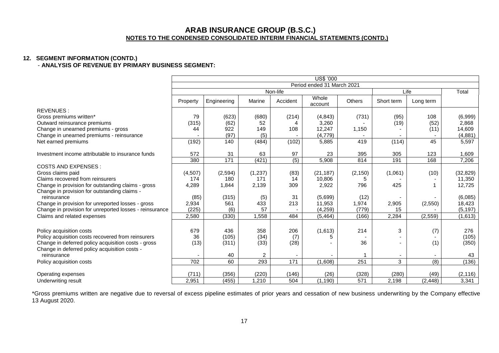#### **12. SEGMENT INFORMATION (CONTD.)** - **ANALYSIS OF REVENUE BY PRIMARY BUSINESS SEGMENT:**

|                                                         | US\$ '000                  |                 |          |                  |                  |          |            |           |           |
|---------------------------------------------------------|----------------------------|-----------------|----------|------------------|------------------|----------|------------|-----------|-----------|
|                                                         | Period ended 31 March 2021 |                 |          |                  |                  |          |            |           |           |
|                                                         |                            |                 |          | Non-life         |                  |          | Life       |           | Total     |
|                                                         | Property                   | Engineering     | Marine   | Accident         | Whole<br>account | Others   | Short term | Long term |           |
| REVENUES:                                               |                            |                 |          |                  |                  |          |            |           |           |
| Gross premiums written*                                 | 79                         | (623)           | (680)    | (214)            | (4, 843)         | (731)    | (95)       | 108       | (6,999)   |
| Outward reinsurance premiums                            | (315)                      | (62)            | 52       |                  | 3,260            |          | (19)       | (52)      | 2,868     |
| Change in unearned premiums - gross                     | 44                         | 922             | 149      | 108              | 12,247           | 1,150    |            | (11)      | 14,609    |
| Change in unearned premiums - reinsurance               |                            | (97)            | (5)      |                  | (4, 779)         |          |            |           | (4,881)   |
| Net earned premiums                                     | (192)                      | 140             | (484)    | (102)            | 5,885            | 419      | (114)      | 45        | 5,597     |
| Investment income attributable to insurance funds       | 572                        | 31              | 63       | 97               | 23               | 395      | 305        | 123       | 1,609     |
|                                                         | 380                        | $\frac{1}{171}$ | (421)    | $\overline{(5)}$ | 5,908            | 814      | 191        | 168       | 7,206     |
| <b>COSTS AND EXPENSES:</b>                              |                            |                 |          |                  |                  |          |            |           |           |
| Gross claims paid                                       | (4,507)                    | (2, 594)        | (1, 237) | (83)             | (21, 187)        | (2, 150) | (1,061)    | (10)      | (32, 829) |
| Claims recovered from reinsurers                        | 174                        | 180             | 171      | 14               | 10,806           | 5        |            |           | 11,350    |
| Change in provision for outstanding claims - gross      | 4,289                      | 1,844           | 2,139    | 309              | 2,922            | 796      | 425        |           | 12,725    |
| Change in provision for outstanding claims -            |                            |                 |          |                  |                  |          |            |           |           |
| reinsurance                                             | (85)                       | (315)           | (5)      | 31               | (5,699)          | (12)     |            |           | (6,085)   |
| Change in provision for unreported losses - gross       | 2,934                      | 561             | 433      | 213              | 11,953           | 1,974    | 2,905      | (2,550)   | 18,423    |
| Change in provision for unreported losses - reinsurance | (225)                      | (6)             | 57       |                  | (4,259)          | (779)    | 15         |           | (5, 197)  |
| Claims and related expenses                             | 2,580                      | (330)           | 1.558    | 484              | (5, 464)         | (166)    | 2,284      | (2, 559)  | (1,613)   |
|                                                         |                            |                 |          |                  |                  |          |            |           |           |
| Policy acquisition costs                                | 679                        | 436             | 358      | 206              | (1,613)          | 214      | 3          | (7)       | 276       |
| Policy acquisition costs recovered from reinsurers      | 36                         | (105)           | (34)     | (7)              | 5                |          |            |           | (105)     |
| Change in deferred policy acquisition costs - gross     | (13)                       | (311)           | (33)     | (28)             |                  | 36       |            | (1)       | (350)     |
| Change in deferred policy acquisition costs -           |                            |                 |          |                  |                  |          |            |           |           |
| reinsurance                                             |                            | 40              | 2        |                  |                  |          |            |           | 43        |
| Policy acquisition costs                                | 702                        | 60              | 293      | 171              | (1,608)          | 251      | 3          | (8)       | (136)     |
|                                                         |                            |                 |          |                  |                  |          |            |           |           |
| Operating expenses                                      | (711)                      | (356)           | (220)    | (146)            | (26)             | (328)    | (280)      | (49)      | (2, 116)  |
| Underwriting result                                     | 2,951                      | (455)           | 1,210    | 504              | (1, 190)         | 571      | 2,198      | (2, 448)  | 3,341     |

\*Gross premiums written are negative due to reversal of excess pipeline estimates of prior years and cessation of new business underwriting by the Company effective 13 August 2020.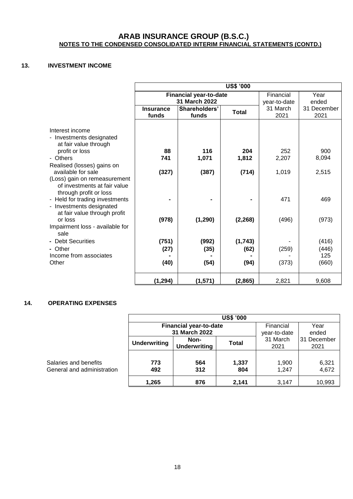## **13. INVESTMENT INCOME**

|                                                                                                                                                                                                                                                                                                                                                                                                                                                                | <b>US\$ '000</b>                             |                                                    |                                                       |                                                |                                                                |  |  |
|----------------------------------------------------------------------------------------------------------------------------------------------------------------------------------------------------------------------------------------------------------------------------------------------------------------------------------------------------------------------------------------------------------------------------------------------------------------|----------------------------------------------|----------------------------------------------------|-------------------------------------------------------|------------------------------------------------|----------------------------------------------------------------|--|--|
|                                                                                                                                                                                                                                                                                                                                                                                                                                                                |                                              | <b>Financial year-to-date</b>                      |                                                       | Financial                                      | Year                                                           |  |  |
|                                                                                                                                                                                                                                                                                                                                                                                                                                                                |                                              | 31 March 2022                                      |                                                       | year-to-date                                   | ended                                                          |  |  |
|                                                                                                                                                                                                                                                                                                                                                                                                                                                                | <b>Insurance</b>                             | Shareholders'                                      | <b>Total</b>                                          | 31 March                                       | 31 December                                                    |  |  |
|                                                                                                                                                                                                                                                                                                                                                                                                                                                                | funds                                        | funds                                              |                                                       | 2021                                           | 2021                                                           |  |  |
| Interest income<br>- Investments designated<br>at fair value through<br>profit or loss<br>- Others<br>Realised (losses) gains on<br>available for sale<br>(Loss) gain on remeasurement<br>of investments at fair value<br>through profit or loss<br>- Held for trading investments<br>- Investments designated<br>at fair value through profit<br>or loss<br>Impairment loss - available for<br>sale<br>- Debt Securities<br>- Other<br>Income from associates | 88<br>741<br>(327)<br>(978)<br>(751)<br>(27) | 116<br>1,071<br>(387)<br>(1, 290)<br>(992)<br>(35) | 204<br>1,812<br>(714)<br>(2, 268)<br>(1, 743)<br>(62) | 252<br>2,207<br>1,019<br>471<br>(496)<br>(259) | 900<br>8,094<br>2,515<br>469<br>(973)<br>(416)<br>(446)<br>125 |  |  |
| Other                                                                                                                                                                                                                                                                                                                                                                                                                                                          | (40)                                         | (54)                                               | (94)                                                  | (373)                                          | (660)                                                          |  |  |
|                                                                                                                                                                                                                                                                                                                                                                                                                                                                | (1, 294)                                     | (1,571)                                            | (2,865)                                               | 2,821                                          | 9,608                                                          |  |  |

## **14. OPERATING EXPENSES**

| <b>US\$ '000</b>    |                               |              |              |             |  |  |  |
|---------------------|-------------------------------|--------------|--------------|-------------|--|--|--|
|                     | <b>Financial year-to-date</b> | Financial    | Year         |             |  |  |  |
|                     | 31 March 2022                 |              | year-to-date | ended       |  |  |  |
| <b>Underwriting</b> | Non-                          | <b>Total</b> | 31 March     | 31 December |  |  |  |
|                     | <b>Underwriting</b>           |              | 2021         | 2021        |  |  |  |
|                     |                               |              |              |             |  |  |  |
| 773                 | 564                           | 1,337        | 1,900        | 6,321       |  |  |  |
| 492                 | 312                           | 804          | 1,247        | 4,672       |  |  |  |
| 1,265               | 876                           | 2,141        | 3,147        | 10,993      |  |  |  |

**Salaries and benefits General and administration**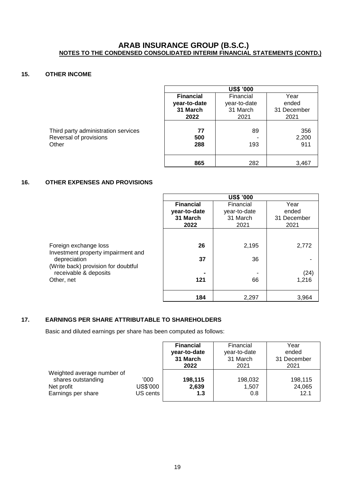## **15. OTHER INCOME**

|                                     | <b>US\$ '000</b> |              |             |  |  |  |  |
|-------------------------------------|------------------|--------------|-------------|--|--|--|--|
|                                     | <b>Financial</b> | Financial    | Year        |  |  |  |  |
|                                     | year-to-date     | year-to-date | ended       |  |  |  |  |
|                                     | 31 March         | 31 March     | 31 December |  |  |  |  |
|                                     | 2022             | 2021         | 2021        |  |  |  |  |
|                                     |                  |              |             |  |  |  |  |
| Third party administration services | 77               | 89           | 356         |  |  |  |  |
| Reversal of provisions              | 500              |              | 2,200       |  |  |  |  |
| Other                               | 288              | 193          | 911         |  |  |  |  |
|                                     |                  |              |             |  |  |  |  |
|                                     | 865              | 282          | 3,467       |  |  |  |  |

## **16. OTHER EXPENSES AND PROVISIONS**

|                                                                                                                    |                  | <b>US\$ '000</b> |             |
|--------------------------------------------------------------------------------------------------------------------|------------------|------------------|-------------|
|                                                                                                                    | <b>Financial</b> | Financial        | Year        |
|                                                                                                                    | year-to-date     | year-to-date     | ended       |
|                                                                                                                    | 31 March         | 31 March         | 31 December |
|                                                                                                                    | 2022             | 2021             | 2021        |
| Foreign exchange loss<br>Investment property impairment and<br>depreciation<br>(Write back) provision for doubtful | 26<br>37         | 2,195<br>36      | 2,772       |
| receivable & deposits                                                                                              |                  |                  | (24)        |
| Other, net                                                                                                         | 121              | 66               | 1,216       |
|                                                                                                                    | 184              | 2,297            | 3,964       |

#### **17. EARNINGS PER SHARE ATTRIBUTABLE TO SHAREHOLDERS**

Basic and diluted earnings per share has been computed as follows:

|                            |          | <b>Financial</b> | Financial    | Year        |
|----------------------------|----------|------------------|--------------|-------------|
|                            |          | year-to-date     | year-to-date | ended       |
|                            |          | 31 March         | 31 March     | 31 December |
|                            |          | 2022             | 2021         | 2021        |
| Weighted average number of |          |                  |              |             |
| shares outstanding         | '000     | 198,115          | 198,032      | 198,115     |
| Net profit                 | US\$'000 | 2,639            | 1,507        | 24,065      |
| Earnings per share         | US cents | 1.3              | 0.8          | 12.1        |
|                            |          |                  |              |             |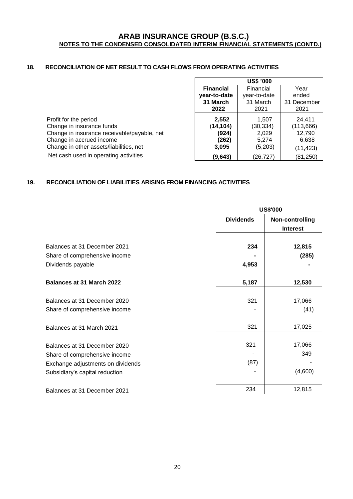## **18. RECONCILIATION OF NET RESULT TO CASH FLOWS FROM OPERATING ACTIVITIES**

|                                             | <b>US\$ '000</b>                      |              |             |  |
|---------------------------------------------|---------------------------------------|--------------|-------------|--|
|                                             | <b>Financial</b><br>Financial<br>Year |              |             |  |
|                                             | year-to-date                          | year-to-date | ended       |  |
|                                             | 31 March                              | 31 March     | 31 December |  |
|                                             | 2022                                  | 2021         | 2021        |  |
| Profit for the period                       | 2,552                                 | 1,507        | 24.411      |  |
| Change in insurance funds                   | (14, 104)                             | (30, 334)    | (113, 666)  |  |
| Change in insurance receivable/payable, net | (924)                                 | 2,029        | 12,790      |  |
| Change in accrued income                    | (262)                                 | 5.274        | 6,638       |  |
| Change in other assets/liabilities, net     | 3,095                                 | (5,203)      | (11, 423)   |  |
| Net cash used in operating activities       | (9,643)                               | (26,727)     | (81, 250)   |  |

## **19. RECONCILIATION OF LIABILITIES ARISING FROM FINANCING ACTIVITIES**

|                                                    | <b>US\$'000</b>  |                                    |  |
|----------------------------------------------------|------------------|------------------------------------|--|
|                                                    | <b>Dividends</b> | Non-controlling<br><b>Interest</b> |  |
| Balances at 31 December 2021                       | 234              | 12,815                             |  |
| Share of comprehensive income<br>Dividends payable | 4,953            | (285)                              |  |
| <b>Balances at 31 March 2022</b>                   | 5,187            | 12,530                             |  |
| Balances at 31 December 2020                       | 321              | 17,066                             |  |
| Share of comprehensive income                      |                  | (41)                               |  |
| Balances at 31 March 2021                          | 321              | 17,025                             |  |
| Balances at 31 December 2020                       | 321              | 17,066                             |  |
| Share of comprehensive income                      |                  | 349                                |  |
| Exchange adjustments on dividends                  | (87)             |                                    |  |
| Subsidiary's capital reduction                     |                  | (4,600)                            |  |
| Balances at 31 December 2021                       | 234              | 12,815                             |  |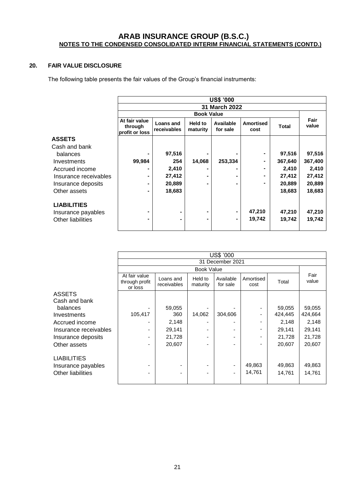## **20. FAIR VALUE DISCLOSURE**

The following table presents the fair values of the Group's financial instruments:

|                       | <b>US\$ '000</b><br>31 March 2022          |                          |                     |                       |                          |              |               |
|-----------------------|--------------------------------------------|--------------------------|---------------------|-----------------------|--------------------------|--------------|---------------|
|                       |                                            |                          |                     |                       |                          |              |               |
|                       |                                            |                          | <b>Book Value</b>   |                       |                          |              |               |
|                       | At fair value<br>through<br>profit or loss | Loans and<br>receivables | Held to<br>maturity | Available<br>for sale | <b>Amortised</b><br>cost | <b>Total</b> | Fair<br>value |
| <b>ASSETS</b>         |                                            |                          |                     |                       |                          |              |               |
| Cash and bank         |                                            |                          |                     |                       |                          |              |               |
| balances              |                                            | 97,516                   |                     |                       |                          | 97,516       | 97,516        |
| Investments           | 99,984                                     | 254                      | 14,068              | 253,334               |                          | 367,640      | 367,400       |
| Accrued income        | $\blacksquare$                             | 2,410                    |                     |                       |                          | 2,410        | 2,410         |
| Insurance receivables | $\blacksquare$                             | 27,412                   |                     |                       |                          | 27,412       | 27,412        |
| Insurance deposits    | $\blacksquare$                             | 20,889                   |                     |                       | ۰.                       | 20,889       | 20,889        |
| Other assets          |                                            | 18,683                   |                     |                       |                          | 18,683       | 18,683        |
| <b>LIABILITIES</b>    |                                            |                          |                     |                       |                          |              |               |
| Insurance payables    |                                            | ۰                        |                     | ۰                     | 47,210                   | 47,210       | 47,210        |
| Other liabilities     |                                            |                          |                     | ۰                     | 19,742                   | 19,742       | 19,742        |

|                                                               | US\$ '000                                  |                          |                     |                       |                   |                  |                  |
|---------------------------------------------------------------|--------------------------------------------|--------------------------|---------------------|-----------------------|-------------------|------------------|------------------|
|                                                               |                                            | 31 December 2021         |                     |                       |                   |                  |                  |
|                                                               |                                            | <b>Book Value</b>        |                     |                       |                   |                  |                  |
|                                                               | At fair value<br>through profit<br>or loss | Loans and<br>receivables | Held to<br>maturity | Available<br>for sale | Amortised<br>cost | Total            | Fair<br>value    |
| <b>ASSETS</b>                                                 |                                            |                          |                     |                       |                   |                  |                  |
| Cash and bank                                                 |                                            |                          |                     |                       |                   |                  |                  |
| balances                                                      |                                            | 59,055                   |                     |                       |                   | 59,055           | 59,055           |
| Investments                                                   | 105,417                                    | 360                      | 14,062              | 304,606               |                   | 424,445          | 424,664          |
| Accrued income                                                | ۰                                          | 2,148                    | -                   |                       |                   | 2,148            | 2,148            |
| Insurance receivables                                         | ۰                                          | 29,141                   | -                   |                       |                   | 29,141           | 29,141           |
| Insurance deposits                                            | ۰                                          | 21,728                   | -                   |                       |                   | 21,728           | 21,728           |
| Other assets                                                  | ۰                                          | 20,607                   |                     |                       |                   | 20,607           | 20,607           |
| <b>LIABILITIES</b><br>Insurance payables<br>Other liabilities |                                            |                          | ٠                   |                       | 49,863<br>14,761  | 49,863<br>14,761 | 49,863<br>14,761 |
|                                                               |                                            |                          |                     |                       |                   |                  |                  |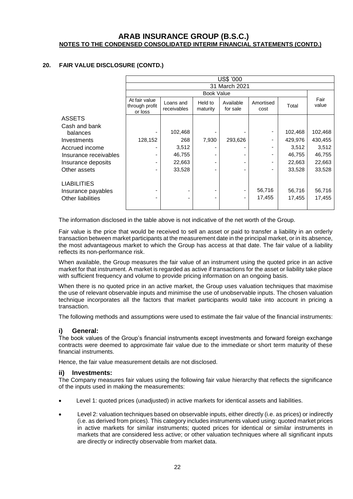## **20. FAIR VALUE DISCLOSURE (CONTD.)**

|                          | US\$ '000                                  |                          |                     |                       |                   |         |               |
|--------------------------|--------------------------------------------|--------------------------|---------------------|-----------------------|-------------------|---------|---------------|
|                          |                                            | 31 March 2021            |                     |                       |                   |         |               |
|                          |                                            | <b>Book Value</b>        |                     |                       |                   |         |               |
|                          | At fair value<br>through profit<br>or loss | Loans and<br>receivables | Held to<br>maturity | Available<br>for sale | Amortised<br>cost | Total   | Fair<br>value |
| <b>ASSETS</b>            |                                            |                          |                     |                       |                   |         |               |
| Cash and bank            |                                            |                          |                     |                       |                   |         |               |
| balances                 |                                            | 102,468                  |                     |                       |                   | 102,468 | 102,468       |
| Investments              | 128,152                                    | 268                      | 7,930               | 293,626               |                   | 429,976 | 430,455       |
| Accrued income           | ٠                                          | 3,512                    |                     |                       |                   | 3,512   | 3,512         |
| Insurance receivables    | ٠                                          | 46,755                   |                     |                       |                   | 46,755  | 46,755        |
| Insurance deposits       | ٠                                          | 22,663                   |                     |                       | ۰                 | 22,663  | 22,663        |
| Other assets             | ۰                                          | 33,528                   |                     |                       | ۰                 | 33,528  | 33,528        |
| <b>LIABILITIES</b>       |                                            |                          |                     |                       |                   |         |               |
| Insurance payables       |                                            |                          |                     |                       | 56,716            | 56,716  | 56,716        |
| <b>Other liabilities</b> |                                            |                          |                     |                       | 17,455            | 17,455  | 17,455        |

The information disclosed in the table above is not indicative of the net worth of the Group.

Fair value is the price that would be received to sell an asset or paid to transfer a liability in an orderly transaction between market participants at the measurement date in the principal market, or in its absence, the most advantageous market to which the Group has access at that date. The fair value of a liability reflects its non-performance risk.

When available, the Group measures the fair value of an instrument using the quoted price in an active market for that instrument. A market is regarded as active if transactions for the asset or liability take place with sufficient frequency and volume to provide pricing information on an ongoing basis.

When there is no quoted price in an active market, the Group uses valuation techniques that maximise the use of relevant observable inputs and minimise the use of unobservable inputs. The chosen valuation technique incorporates all the factors that market participants would take into account in pricing a transaction.

The following methods and assumptions were used to estimate the fair value of the financial instruments:

#### **i) General:**

The book values of the Group's financial instruments except investments and forward foreign exchange contracts were deemed to approximate fair value due to the immediate or short term maturity of these financial instruments.

Hence, the fair value measurement details are not disclosed.

#### **ii) Investments:**

The Company measures fair values using the following fair value hierarchy that reflects the significance of the inputs used in making the measurements:

- Level 1: quoted prices (unadjusted) in active markets for identical assets and liabilities.
- Level 2: valuation techniques based on observable inputs, either directly (i.e. as prices) or indirectly (i.e. as derived from prices). This category includes instruments valued using: quoted market prices in active markets for similar instruments; quoted prices for identical or similar instruments in markets that are considered less active; or other valuation techniques where all significant inputs are directly or indirectly observable from market data.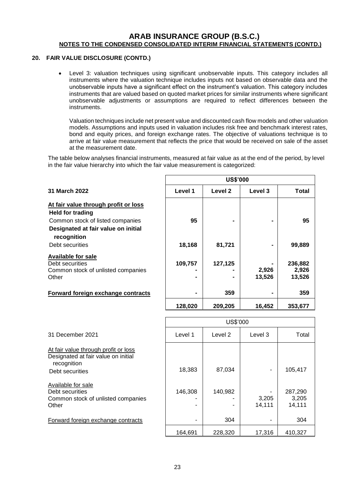#### **20. FAIR VALUE DISCLOSURE (CONTD.)**

• Level 3: valuation techniques using significant unobservable inputs. This category includes all instruments where the valuation technique includes inputs not based on observable data and the unobservable inputs have a significant effect on the instrument's valuation. This category includes instruments that are valued based on quoted market prices for similar instruments where significant unobservable adjustments or assumptions are required to reflect differences between the instruments.

Valuation techniques include net present value and discounted cash flow models and other valuation models. Assumptions and inputs used in valuation includes risk free and benchmark interest rates, bond and equity prices, and foreign exchange rates. The objective of valuations technique is to arrive at fair value measurement that reflects the price that would be received on sale of the asset at the measurement date.

The table below analyses financial instruments, measured at fair value as at the end of the period, by level in the fair value hierarchy into which the fair value measurement is categorized:

|                                                    | <b>US\$'000</b> |                    |         |              |  |
|----------------------------------------------------|-----------------|--------------------|---------|--------------|--|
| 31 March 2022                                      | Level 1         | Level <sub>2</sub> | Level 3 | <b>Total</b> |  |
| At fair value through profit or loss               |                 |                    |         |              |  |
| <b>Held for trading</b>                            |                 |                    |         |              |  |
| Common stock of listed companies                   | 95              |                    |         | 95           |  |
| Designated at fair value on initial<br>recognition |                 |                    |         |              |  |
| Debt securities                                    | 18,168          | 81,721             |         | 99,889       |  |
| <b>Available for sale</b>                          |                 |                    |         |              |  |
| Debt securities                                    | 109,757         | 127,125            |         | 236,882      |  |
| Common stock of unlisted companies                 |                 |                    | 2,926   | 2,926        |  |
| Other                                              | $\blacksquare$  |                    | 13,526  | 13,526       |  |
| Forward foreign exchange contracts                 | $\blacksquare$  | 359                |         | 359          |  |

**128,020 209,205 16,452 353,677**

|                                                                                                               | US\$'000 |         |                 |                            |  |  |
|---------------------------------------------------------------------------------------------------------------|----------|---------|-----------------|----------------------------|--|--|
| 31 December 2021                                                                                              | Level 1  | Level 2 | Level 3         | Total                      |  |  |
| At fair value through profit or loss<br>Designated at fair value on initial<br>recognition<br>Debt securities | 18,383   | 87,034  | ۰               | 105,417                    |  |  |
| Available for sale<br>Debt securities<br>Common stock of unlisted companies<br>Other                          | 146,308  | 140,982 | 3,205<br>14,111 | 287,290<br>3,205<br>14,111 |  |  |
| Forward foreign exchange contracts                                                                            |          | 304     | ۰               | 304                        |  |  |
|                                                                                                               | 164.691  | 228,320 | 17,316          | 410,327                    |  |  |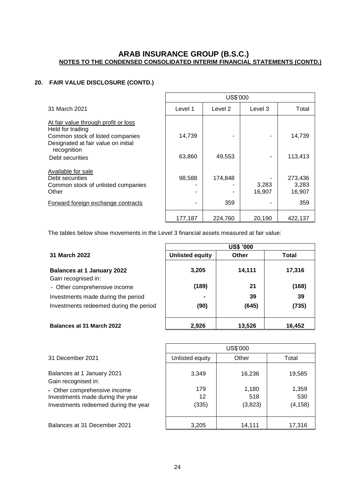## **20. FAIR VALUE DISCLOSURE (CONTD.)**

|                                                                                                                                     | US\$'000 |         |                 |                            |  |  |
|-------------------------------------------------------------------------------------------------------------------------------------|----------|---------|-----------------|----------------------------|--|--|
| 31 March 2021                                                                                                                       | Level 1  | Level 2 | Level 3         | Total                      |  |  |
| At fair value through profit or loss<br>Held for trading<br>Common stock of listed companies<br>Designated at fair value on initial | 14,739   |         |                 | 14,739                     |  |  |
| recognition<br>Debt securities                                                                                                      | 63,860   | 49,553  |                 | 113,413                    |  |  |
| Available for sale<br>Debt securities<br>Common stock of unlisted companies<br>Other                                                | 98,588   | 174.848 | 3,283<br>16,907 | 273,436<br>3,283<br>16,907 |  |  |
| Forward foreign exchange contracts                                                                                                  |          | 359     |                 | 359                        |  |  |
|                                                                                                                                     | 177,187  | 224.760 | 20,190          | 422,137                    |  |  |

The tables below show movements in the Level 3 financial assets measured at fair value:

 $\overline{\Gamma}$ 

|                                                          | <b>US\$ '000</b>       |        |        |  |  |  |
|----------------------------------------------------------|------------------------|--------|--------|--|--|--|
| 31 March 2022                                            | <b>Unlisted equity</b> | Other  | Total  |  |  |  |
| <b>Balances at 1 January 2022</b><br>Gain recognised in: | 3,205                  | 14,111 | 17,316 |  |  |  |
| - Other comprehensive income                             | (189)                  | 21     | (168)  |  |  |  |
| Investments made during the period                       |                        | 39     | 39     |  |  |  |
| Investments redeemed during the period                   | (90)                   | (645)  | (735)  |  |  |  |
| <b>Balances at 31 March 2022</b>                         | 2,926                  | 13,526 | 16,452 |  |  |  |

|                                                                  | US\$'000        |              |              |  |  |  |
|------------------------------------------------------------------|-----------------|--------------|--------------|--|--|--|
| 31 December 2021                                                 | Unlisted equity | Other        | Total        |  |  |  |
| Balances at 1 January 2021<br>Gain recognised in:                | 3,349           | 16,236       | 19,585       |  |  |  |
| - Other comprehensive income<br>Investments made during the year | 179<br>12       | 1,180<br>518 | 1,359<br>530 |  |  |  |
| Investments redeemed during the year                             | (335)           | (3,823)      | (4, 158)     |  |  |  |
| Balances at 31 December 2021                                     | 3.205           | 14,111       | 17,316       |  |  |  |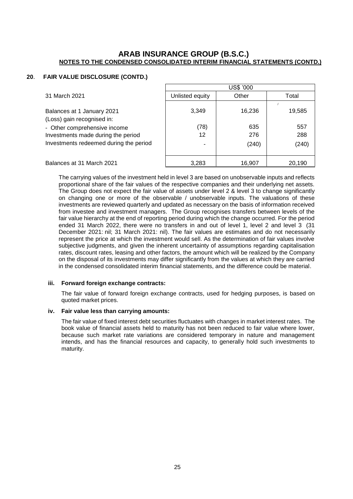#### **20**. **FAIR VALUE DISCLOSURE (CONTD.)**

|                                                                                          | US\$ '000       |               |               |  |  |  |
|------------------------------------------------------------------------------------------|-----------------|---------------|---------------|--|--|--|
| 31 March 2021                                                                            | Unlisted equity | Other         | Total         |  |  |  |
| Balances at 1 January 2021<br>(Loss) gain recognised in:<br>- Other comprehensive income | 3,349<br>(78)   | 16,236<br>635 | 19,585<br>557 |  |  |  |
| Investments made during the period                                                       | 12              | 276           | 288           |  |  |  |
| Investments redeemed during the period                                                   | ۰               | (240)         | (240)         |  |  |  |
| Balances at 31 March 2021                                                                | 3,283           | 16,907        | 20,190        |  |  |  |

The carrying values of the investment held in level 3 are based on unobservable inputs and reflects proportional share of the fair values of the respective companies and their underlying net assets. The Group does not expect the fair value of assets under level 2 & level 3 to change significantly on changing one or more of the observable / unobservable inputs. The valuations of these investments are reviewed quarterly and updated as necessary on the basis of information received from investee and investment managers. The Group recognises transfers between levels of the fair value hierarchy at the end of reporting period during which the change occurred. For the period ended 31 March 2022, there were no transfers in and out of level 1, level 2 and level 3 (31) December 2021: nil; 31 March 2021: nil). The fair values are estimates and do not necessarily represent the price at which the investment would sell. As the determination of fair values involve subjective judgments, and given the inherent uncertainty of assumptions regarding capitalisation rates, discount rates, leasing and other factors, the amount which will be realized by the Company on the disposal of its investments may differ significantly from the values at which they are carried in the condensed consolidated interim financial statements, and the difference could be material.

#### **iii. Forward foreign exchange contracts:**

The fair value of forward foreign exchange contracts, used for hedging purposes, is based on quoted market prices.

#### **iv. Fair value less than carrying amounts:**

The fair value of fixed interest debt securities fluctuates with changes in market interest rates. The book value of financial assets held to maturity has not been reduced to fair value where lower, because such market rate variations are considered temporary in nature and management intends, and has the financial resources and capacity, to generally hold such investments to maturity.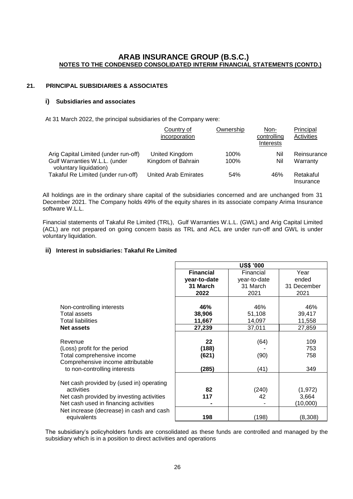#### **21. PRINCIPAL SUBSIDIARIES & ASSOCIATES**

#### **i) Subsidiaries and associates**

At 31 March 2022, the principal subsidiaries of the Company were:

|                                                         | Country of<br>incorporation | Ownership | Non-<br>controlling<br>Interests | Principal<br><b>Activities</b> |
|---------------------------------------------------------|-----------------------------|-----------|----------------------------------|--------------------------------|
| Arig Capital Limited (under run-off)                    | United Kingdom              | 100%      | Nil                              | Reinsurance                    |
| Gulf Warranties W.L.L. (under<br>voluntary liquidation) | Kingdom of Bahrain          | 100%      | Nil                              | Warranty                       |
| Takaful Re Limited (under run-off)                      | <b>United Arab Emirates</b> | 54%       | 46%                              | Retakaful<br>Insurance         |

All holdings are in the ordinary share capital of the subsidiaries concerned and are unchanged from 31 December 2021. The Company holds 49% of the equity shares in its associate company Arima Insurance software W.L.L.

Financial statements of Takaful Re Limited (TRL), Gulf Warranties W.L.L. (GWL) and Arig Capital Limited (ACL) are not prepared on going concern basis as TRL and ACL are under run-off and GWL is under voluntary liquidation.

#### **ii) Interest in subsidiaries: Takaful Re Limited**

|                                           | <b>US\$ '000</b> |              |             |  |
|-------------------------------------------|------------------|--------------|-------------|--|
|                                           | <b>Financial</b> | Financial    | Year        |  |
|                                           | year-to-date     | year-to-date | ended       |  |
|                                           | 31 March         | 31 March     | 31 December |  |
|                                           | 2022             | 2021         | 2021        |  |
|                                           |                  |              |             |  |
| Non-controlling interests                 | 46%              | 46%          | 46%         |  |
| Total assets                              | 38,906           | 51,108       | 39,417      |  |
| <b>Total liabilities</b>                  | 11,667           | 14,097       | 11,558      |  |
| <b>Net assets</b>                         | 27,239           | 37,011       | 27,859      |  |
|                                           |                  |              |             |  |
| Revenue                                   | 22               | (64)         | 109         |  |
| (Loss) profit for the period              | (188)            |              | 753         |  |
| Total comprehensive income                | (621)            | (90)         | 758         |  |
| Comprehensive income attributable         |                  |              |             |  |
| to non-controlling interests              | (285)            | (41)         | 349         |  |
|                                           |                  |              |             |  |
| Net cash provided by (used in) operating  |                  |              |             |  |
| activities                                | 82               | (240)        | (1, 972)    |  |
| Net cash provided by investing activities | 117              | 42           | 3,664       |  |
| Net cash used in financing activities     |                  |              | (10,000)    |  |
| Net increase (decrease) in cash and cash  |                  |              |             |  |
| equivalents                               | 198              | (198)        | (8, 308)    |  |

The subsidiary's policyholders funds are consolidated as these funds are controlled and managed by the subsidiary which is in a position to direct activities and operations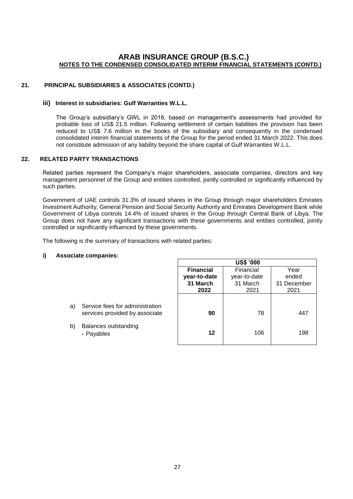#### **21. PRINCIPAL SUBSIDIARIES & ASSOCIATES (CONTD.)**

#### **iii) Interest in subsidiaries: Gulf Warranties W.L.L.**

The Group's subsidiary's GWL in 2018, based on management's assessments had provided for probable loss of US\$ 21.5 million. Following settlement of certain liabilities the provision has been reduced to US\$ 7.6 million in the books of the subsidiary and consequently in the condensed consolidated interim financial statements of the Group for the period ended 31 March 2022. This does not constitute admission of any liability beyond the share capital of Gulf Warranties W.L.L.

#### **22. RELATED PARTY TRANSACTIONS**

Related parties represent the Company's major shareholders, associate companies, directors and key management personnel of the Group and entities controlled, jointly controlled or significantly influenced by such parties.

Government of UAE controls 31.3% of issued shares in the Group through major shareholders Emirates Investment Authority, General Pension and Social Security Authority and Emirates Development Bank while Government of Libya controls 14.4% of issued shares in the Group through Central Bank of Libya. The Group does not have any significant transactions with these governments and entities controlled, jointly controlled or significantly influenced by these governments.

The following is the summary of transactions with related parties:

#### **i) Associate companies:**

|                                                                                                                     | <b>US\$ '000</b>              |              |             |  |
|---------------------------------------------------------------------------------------------------------------------|-------------------------------|--------------|-------------|--|
|                                                                                                                     | <b>Financial</b><br>Financial |              | Year        |  |
|                                                                                                                     | year-to-date                  | year-to-date | ended       |  |
|                                                                                                                     | 31 March                      | 31 March     | 31 December |  |
|                                                                                                                     | 2022                          | 2021         | 2021        |  |
| Service fees for administration<br>a)<br>services provided by associate<br>b)<br>Balances outstanding<br>- Payables | 90<br>12                      | 78<br>106    | 447<br>198  |  |